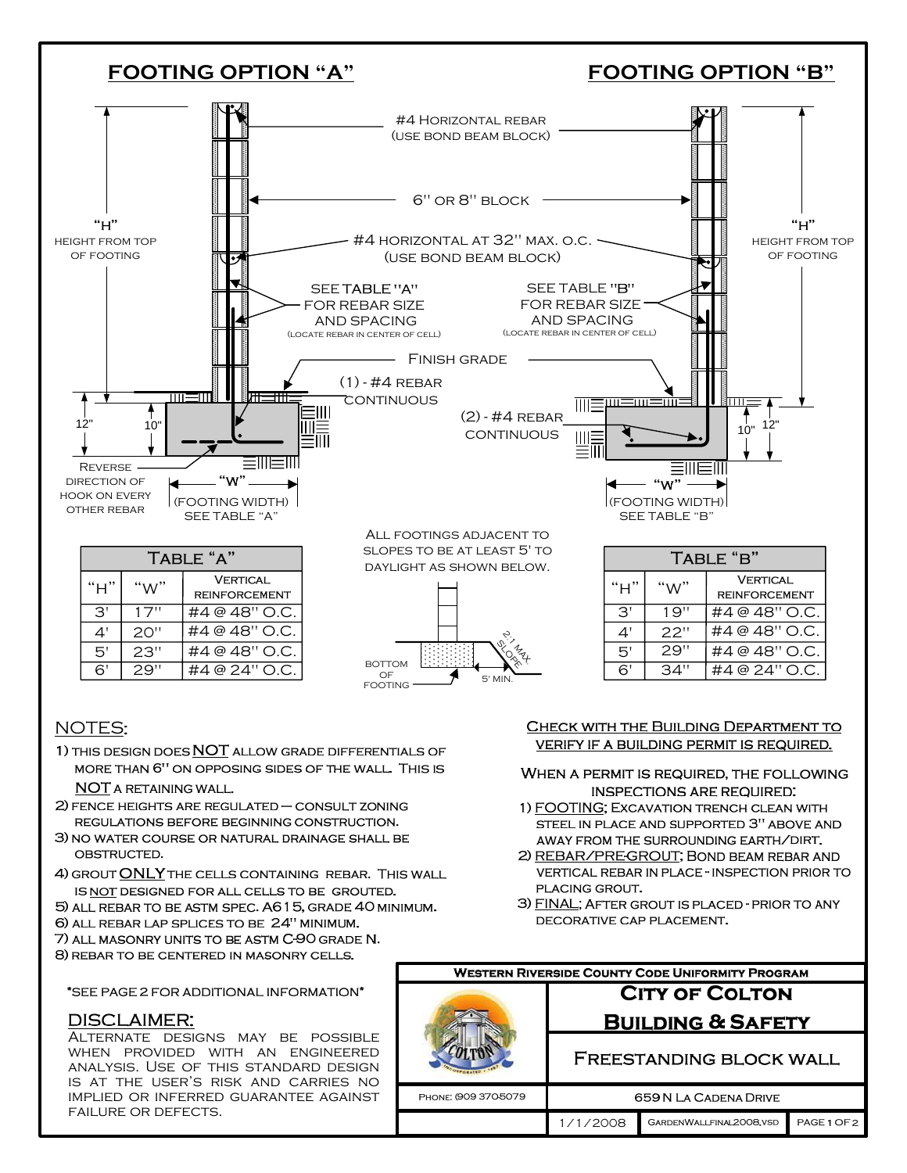

## **NOTES:**

1) THIS DESIGN DOES NOT ALLOW GRADE DIFFERENTIALS OF MORE THAN 6" ON OPPOSING SIDES OF THE WALL. THIS IS NOT A RETAINING WALL.

- 2) FENCE HEIGHTS ARE REGULATED CONSULT ZONING REGULATIONS BEFORE BEGINNING CONSTRUCTION.
- 3) NO WATER COURSE OR NATURAL DRAINAGE SHALL BE OBSTRUCTED.
- 4) GROUT ONLY THE CELLS CONTAINING REBAR. THIS WALL IS NOT DESIGNED FOR ALL CELLS TO BE GROUTED.

5) ALL REBAR TO BE ASTM SPEC. A615, GRADE 40 MINIMUM. 6) ALL REBAR LAP SPLICES TO BE 24" MINIMUM.

7) ALL MASONRY UNITS TO BE ASTM C-90 GRADE N.

8) REBAR TO BE CENTERED IN MASONRY CELLS.

## CHECK WITH THE BUILDING DEPARTMENT TO VERIFY IF A BUILDING PERMIT IS REQUIRED.

## WHEN A PERMIT IS REQUIRED, THE FOLLOWING **INSPECTIONS ARE REQUIRED:**

- 1) FOOTING; EXCAVATION TRENCH CLEAN WITH STEEL IN PLACE AND SUPPORTED 3" ABOVE AND AWAY FROM THE SURROUNDING EARTH/DIRT.
- 2) REBAR/PRE-GROUT; BOND BEAM REBAR AND VERTICAL REBAR IN PLACE - INSPECTION PRIOR TO PLACING GROUT.
- 3) FINAL: AFTER GROUT IS PLACED PRIOR TO ANY DECORATIVE CAP PLACEMENT.

| <b>WESTERN RIVERSIDE COUNTY CODE UNIFORMITY PROGRAM</b> |                                |                         |             |
|---------------------------------------------------------|--------------------------------|-------------------------|-------------|
|                                                         | <b>CITY OF COLTON</b>          |                         |             |
|                                                         | <b>BUILDING &amp; SAFETY</b>   |                         |             |
|                                                         | <b>FREESTANDING BLOCK WALL</b> |                         |             |
| PHONE: (909 370-5079)                                   | <b>659 N LA CADENA DRIVE</b>   |                         |             |
|                                                         | 1/1/2008                       | GARDENWALLFINAL2008.VSD | PAGE 1 OF 2 |

\*SEE PAGE 2 FOR ADDITIONAL INFORMATION\*

## **DISCLAIMER:**

ALTERNATE DESIGNS MAY BE POSSIBLE WHEN PROVIDED WITH AN ENGINEERED ANALYSIS. USE OF THIS STANDARD DESIGN IS AT THE USER'S RISK AND CARRIES NO IMPLIED OR INFERRED GUARANTEE AGAINST FAILURE OR DEFECTS.